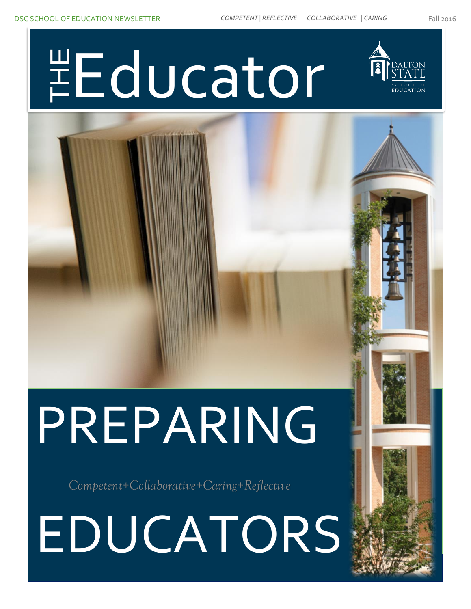# Dalton State College - School of Education – Newsletter – Fall 2015 EDUCATORS

# PREPARING



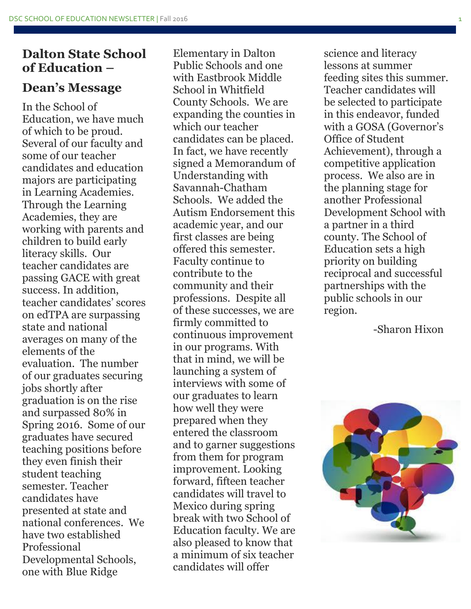### **Dalton State School of Education –**

### **Dean's Message**

In the School of Education, we have much of which to be proud. Several of our faculty and some of our teacher candidates and education majors are participating in Learning Academies. Through the Learning Academies, they are working with parents and children to build early literacy skills. Our teacher candidates are passing GACE with great success. In addition, teacher candidates' scores on edTPA are surpassing state and national averages on many of the elements of the evaluation. The number of our graduates securing jobs shortly after graduation is on the rise and surpassed 80% in Spring 2016. Some of our graduates have secured teaching positions before they even finish their student teaching semester. Teacher candidates have presented at state and national conferences. We have two established Professional Developmental Schools, one with Blue Ridge

Elementary in Dalton Public Schools and one with Eastbrook Middle School in Whitfield County Schools. We are expanding the counties in which our teacher candidates can be placed. In fact, we have recently signed a Memorandum of Understanding with Savannah-Chatham Schools. We added the Autism Endorsement this academic year, and our first classes are being offered this semester. Faculty continue to contribute to the community and their professions. Despite all of these successes, we are firmly committed to continuous improvement in our programs. With that in mind, we will be launching a system of interviews with some of our graduates to learn how well they were prepared when they entered the classroom and to garner suggestions from them for program improvement. Looking forward, fifteen teacher candidates will travel to Mexico during spring break with two School of Education faculty. We are also pleased to know that a minimum of six teacher candidates will offer

science and literacy lessons at summer feeding sites this summer. Teacher candidates will be selected to participate in this endeavor, funded with a GOSA (Governor's Office of Student Achievement), through a competitive application process. We also are in the planning stage for another Professional Development School with a partner in a third county. The School of Education sets a high priority on building reciprocal and successful partnerships with the public schools in our region.

-Sharon Hixon

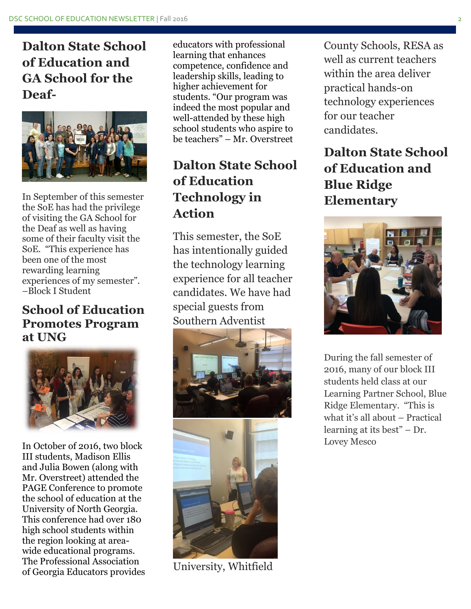**Dalton State School of Education and GA School for the Deaf-**



In September of this semester the SoE has had the privilege of visiting the GA School for the Deaf as well as having some of their faculty visit the SoE. "This experience has been one of the most rewarding learning experiences of my semester". –Block I Student

### **School of Education Promotes Program at UNG**



In October of 2016, two block III students, Madison Ellis and Julia Bowen (along with Mr. Overstreet) attended the PAGE Conference to promote the school of education at the University of North Georgia. This conference had over 180 high school students within the region looking at areawide educational programs. The Professional Association of Georgia Educators provides

educators with professional learning that enhances competence, confidence and leadership skills, leading to higher achievement for students. "Our program was indeed the most popular and well-attended by these high school students who aspire to be teachers" – Mr. Overstreet

# **Dalton State School of Education Technology in Action**

This semester, the SoE has intentionally guided the technology learning experience for all teacher candidates. We have had special guests from Southern Adventist



University, Whitfield

County Schools, RESA as well as current teachers within the area deliver practical hands-on technology experiences for our teacher candidates.

# **Dalton State School of Education and Blue Ridge Elementary**



During the fall semester of 2016, many of our block III students held class at our Learning Partner School, Blue Ridge Elementary. "This is what it's all about – Practical learning at its best" – Dr. Lovey Mesco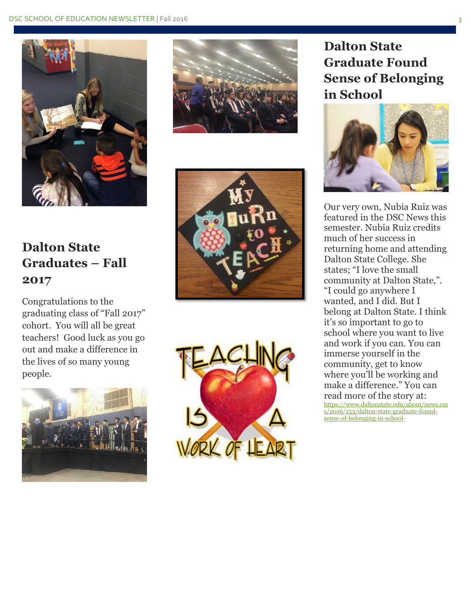

# **Dalton State Graduates – Fall 2017**

Congratulations to the graduating class of "Fall 2017" cohort. You will all be great teachers! Good luck as you go out and make a difference in the lives of so many young people.









## **Dalton State Graduate Found Sense of Belonging in School**



Our very own, Nubia Ruiz was featured in the DSC News this semester. Nubia Ruiz credits much of her success in returning home and attending Dalton State College. She states; "I love the small community at Dalton State,". "I could go anywhere I wanted, and I did. But I belong at Dalton State. I think it's so important to go to school where you want to live and work if you can. You can immerse yourself in the community, get to know where you'll be working and make a difference." You can read more of the story at: [https://www.daltonstate.edu/about/news.cm](https://www.daltonstate.edu/about/news.cms/2016/153/dalton-state-graduate-found-sense-of-belonging-in-school-) [s/2016/153/dalton-state-graduate-found](https://www.daltonstate.edu/about/news.cms/2016/153/dalton-state-graduate-found-sense-of-belonging-in-school-)[sense-of-belonging-in-school-](https://www.daltonstate.edu/about/news.cms/2016/153/dalton-state-graduate-found-sense-of-belonging-in-school-)